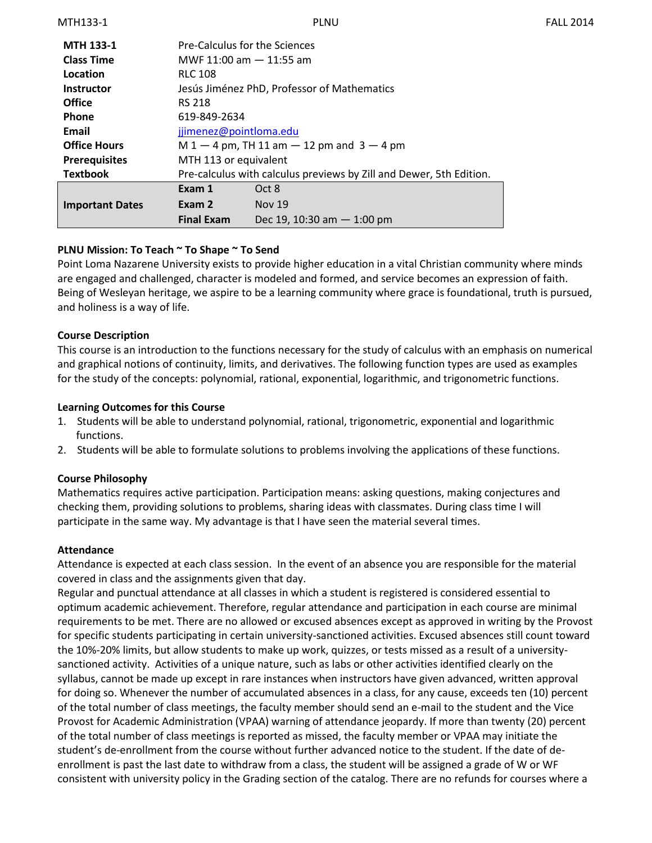| <b>MTH 133-1</b>       | <b>Pre-Calculus for the Sciences</b>                                |                              |  |
|------------------------|---------------------------------------------------------------------|------------------------------|--|
| <b>Class Time</b>      | MWF 11:00 am $-$ 11:55 am                                           |                              |  |
| Location               | <b>RLC 108</b>                                                      |                              |  |
| <b>Instructor</b>      | Jesús Jiménez PhD, Professor of Mathematics                         |                              |  |
| <b>Office</b>          | <b>RS 218</b>                                                       |                              |  |
| <b>Phone</b>           | 619-849-2634                                                        |                              |  |
| Email                  | jjimenez@pointloma.edu                                              |                              |  |
| <b>Office Hours</b>    | $M 1 - 4$ pm, TH 11 am $- 12$ pm and 3 $- 4$ pm                     |                              |  |
| <b>Prerequisites</b>   | MTH 113 or equivalent                                               |                              |  |
| <b>Textbook</b>        | Pre-calculus with calculus previews by Zill and Dewer, 5th Edition. |                              |  |
|                        | Exam 1                                                              | Oct 8                        |  |
| <b>Important Dates</b> | Exam 2                                                              | <b>Nov 19</b>                |  |
|                        | <b>Final Exam</b>                                                   | Dec 19, 10:30 am $-$ 1:00 pm |  |

### **PLNU Mission: To Teach ~ To Shape ~ To Send**

Point Loma Nazarene University exists to provide higher education in a vital Christian community where minds are engaged and challenged, character is modeled and formed, and service becomes an expression of faith. Being of Wesleyan heritage, we aspire to be a learning community where grace is foundational, truth is pursued, and holiness is a way of life.

### **Course Description**

This course is an introduction to the functions necessary for the study of calculus with an emphasis on numerical and graphical notions of continuity, limits, and derivatives. The following function types are used as examples for the study of the concepts: polynomial, rational, exponential, logarithmic, and trigonometric functions.

### **Learning Outcomes for this Course**

- 1. Students will be able to understand polynomial, rational, trigonometric, exponential and logarithmic functions.
- 2. Students will be able to formulate solutions to problems involving the applications of these functions.

### **Course Philosophy**

Mathematics requires active participation. Participation means: asking questions, making conjectures and checking them, providing solutions to problems, sharing ideas with classmates. During class time I will participate in the same way. My advantage is that I have seen the material several times.

### **Attendance**

Attendance is expected at each class session. In the event of an absence you are responsible for the material covered in class and the assignments given that day.

Regular and punctual attendance at all classes in which a student is registered is considered essential to optimum academic achievement. Therefore, regular attendance and participation in each course are minimal requirements to be met. There are no allowed or excused absences except as approved in writing by the Provost for specific students participating in certain university-sanctioned activities. Excused absences still count toward the 10%-20% limits, but allow students to make up work, quizzes, or tests missed as a result of a universitysanctioned activity. Activities of a unique nature, such as labs or other activities identified clearly on the syllabus, cannot be made up except in rare instances when instructors have given advanced, written approval for doing so. Whenever the number of accumulated absences in a class, for any cause, exceeds ten (10) percent of the total number of class meetings, the faculty member should send an e-mail to the student and the Vice Provost for Academic Administration (VPAA) warning of attendance jeopardy. If more than twenty (20) percent of the total number of class meetings is reported as missed, the faculty member or VPAA may initiate the student's de-enrollment from the course without further advanced notice to the student. If the date of deenrollment is past the last date to withdraw from a class, the student will be assigned a grade of W or WF consistent with university policy in the Grading section of the catalog. There are no refunds for courses where a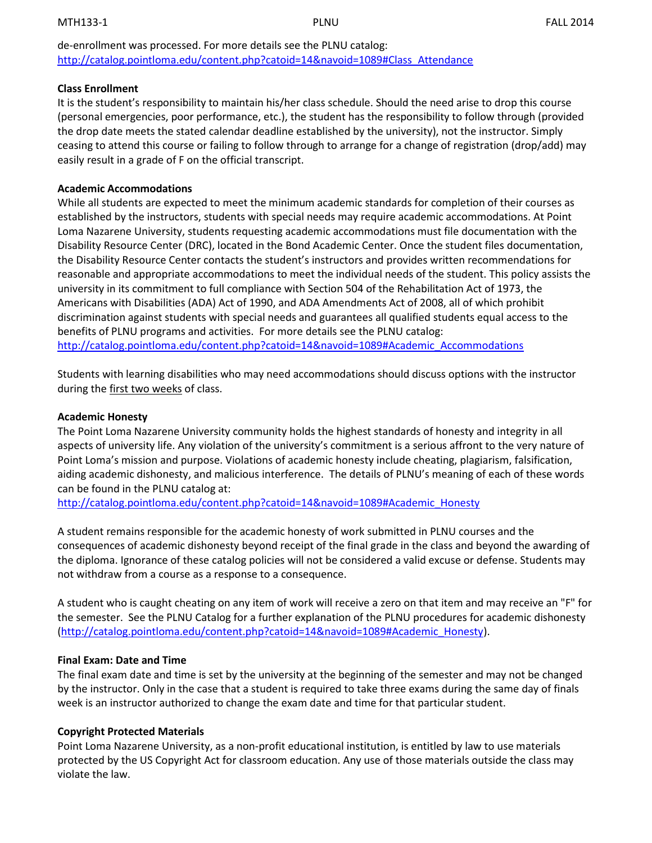de-enrollment was processed. For more details see the PLNU catalog: [http://catalog.pointloma.edu/content.php?catoid=14&navoid=1089#Class\\_Attendance](http://catalog.pointloma.edu/content.php?catoid=14&navoid=1089#Class_Attendance)

#### **Class Enrollment**

It is the student's responsibility to maintain his/her class schedule. Should the need arise to drop this course (personal emergencies, poor performance, etc.), the student has the responsibility to follow through (provided the drop date meets the stated calendar deadline established by the university), not the instructor. Simply ceasing to attend this course or failing to follow through to arrange for a change of registration (drop/add) may easily result in a grade of F on the official transcript.

#### **Academic Accommodations**

While all students are expected to meet the minimum academic standards for completion of their courses as established by the instructors, students with special needs may require academic accommodations. At Point Loma Nazarene University, students requesting academic accommodations must file documentation with the Disability Resource Center (DRC), located in the Bond Academic Center. Once the student files documentation, the Disability Resource Center contacts the student's instructors and provides written recommendations for reasonable and appropriate accommodations to meet the individual needs of the student. This policy assists the university in its commitment to full compliance with Section 504 of the Rehabilitation Act of 1973, the Americans with Disabilities (ADA) Act of 1990, and ADA Amendments Act of 2008, all of which prohibit discrimination against students with special needs and guarantees all qualified students equal access to the benefits of PLNU programs and activities. For more details see the PLNU catalog: [http://catalog.pointloma.edu/content.php?catoid=14&navoid=1089#Academic\\_Accommodations](http://catalog.pointloma.edu/content.php?catoid=14&navoid=1089#Academic_Accommodations)

Students with learning disabilities who may need accommodations should discuss options with the instructor during the first two weeks of class.

#### **Academic Honesty**

The Point Loma Nazarene University community holds the highest standards of honesty and integrity in all aspects of university life. Any violation of the university's commitment is a serious affront to the very nature of Point Loma's mission and purpose. Violations of academic honesty include cheating, plagiarism, falsification, aiding academic dishonesty, and malicious interference. The details of PLNU's meaning of each of these words can be found in the PLNU catalog at:

[http://catalog.pointloma.edu/content.php?catoid=14&navoid=1089#Academic\\_Honesty](http://catalog.pointloma.edu/content.php?catoid=14&navoid=1089#Academic_Honesty)

A student remains responsible for the academic honesty of work submitted in PLNU courses and the consequences of academic dishonesty beyond receipt of the final grade in the class and beyond the awarding of the diploma. Ignorance of these catalog policies will not be considered a valid excuse or defense. Students may not withdraw from a course as a response to a consequence.

A student who is caught cheating on any item of work will receive a zero on that item and may receive an "F" for the semester. See the PLNU Catalog for a further explanation of the PLNU procedures for academic dishonesty [\(http://catalog.pointloma.edu/content.php?catoid=14&navoid=1089#Academic\\_Honesty\)](http://catalog.pointloma.edu/content.php?catoid=14&navoid=1089#Academic_Honesty).

### **Final Exam: Date and Time**

The final exam date and time is set by the university at the beginning of the semester and may not be changed by the instructor. Only in the case that a student is required to take three exams during the same day of finals week is an instructor authorized to change the exam date and time for that particular student.

### **Copyright Protected Materials**

Point Loma Nazarene University, as a non-profit educational institution, is entitled by law to use materials protected by the US Copyright Act for classroom education. Any use of those materials outside the class may violate the law.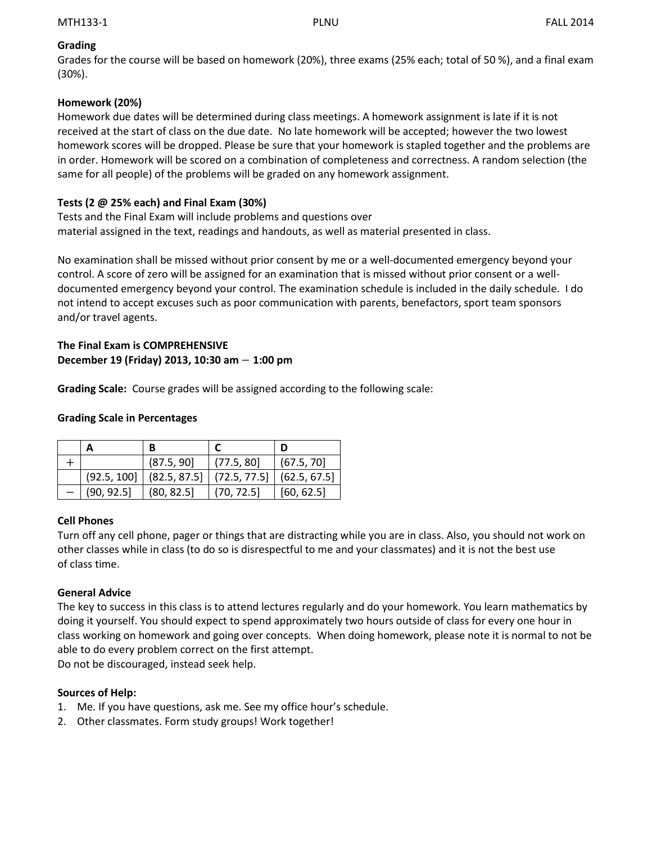## **Grading**

Grades for the course will be based on homework (20%), three exams (25% each; total of 50 %), and a final exam (30%).

## **Homework (20%)**

Homework due dates will be determined during class meetings. A homework assignment is late if it is not received at the start of class on the due date. No late homework will be accepted; however the two lowest homework scores will be dropped. Please be sure that your homework is stapled together and the problems are in order. Homework will be scored on a combination of completeness and correctness. A random selection (the same for all people) of the problems will be graded on any homework assignment.

## **Tests (2 @ 25% each) and Final Exam (30%)**

Tests and the Final Exam will include problems and questions over material assigned in the text, readings and handouts, as well as material presented in class.

No examination shall be missed without prior consent by me or a well-documented emergency beyond your control. A score of zero will be assigned for an examination that is missed without prior consent or a welldocumented emergency beyond your control. The examination schedule is included in the daily schedule. I do not intend to accept excuses such as poor communication with parents, benefactors, sport team sponsors and/or travel agents.

## **The Final Exam is COMPREHENSIVE** December 19 (Friday) 2013, 10:30 am - 1:00 pm

**Grading Scale:** Course grades will be assigned according to the following scale:

### **Grading Scale in Percentages**

|            | (87.5, 90)                                  | (77.5, 80) | (67.5, 70)   |
|------------|---------------------------------------------|------------|--------------|
|            | $(92.5, 100]$ $(82.5, 87.5]$ $(72.5, 77.5]$ |            | (62.5, 67.5) |
| (90, 92.5) | (80, 82.5)                                  | (70, 72.5) | [60, 62.5]   |

### **Cell Phones**

Turn off any cell phone, pager or things that are distracting while you are in class. Also, you should not work on other classes while in class (to do so is disrespectful to me and your classmates) and it is not the best use of class time.

### **General Advice**

The key to success in this class is to attend lectures regularly and do your homework. You learn mathematics by doing it yourself. You should expect to spend approximately two hours outside of class for every one hour in class working on homework and going over concepts. When doing homework, please note it is normal to not be able to do every problem correct on the first attempt.

Do not be discouraged, instead seek help.

# **Sources of Help:**

- 1. Me. If you have questions, ask me. See my office hour's schedule.
- 2. Other classmates. Form study groups! Work together!